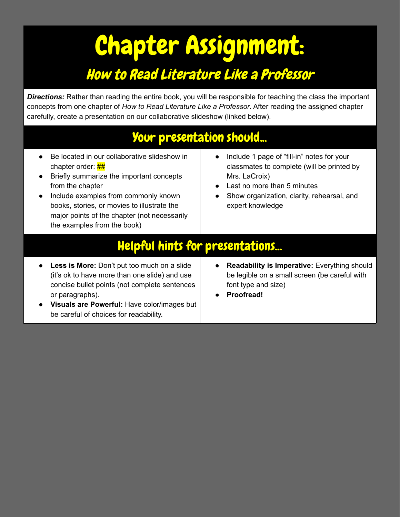## Chapter Assignment: How to Read Literature Like a Professor

**Directions:** Rather than reading the entire book, you will be responsible for teaching the class the important concepts from one chapter of *How to Read Literature Like a Professor*. After reading the assigned chapter carefully, create a presentation on our collaborative slideshow (linked below).

## Your presentation should...

- Be located in our collaborative slideshow in chapter order:  $\frac{HH}{H}$
- Briefly summarize the important concepts from the chapter
- Include examples from commonly known books, stories, or movies to illustrate the major points of the chapter (not necessarily the examples from the book)
- Include 1 page of "fill-in" notes for your classmates to complete (will be printed by Mrs. LaCroix)
- Last no more than 5 minutes
- Show organization, clarity, rehearsal, and expert knowledge

## Helpful hints for presentations...

- **● Less is More:** Don't put too much on a slide (it's ok to have more than one slide) and use concise bullet points (not complete sentences or paragraphs).
- **Visuals are Powerful:** Have color/images but be careful of choices for readability.
- **Readability is Imperative:** Everything should be legible on a small screen (be careful with font type and size)
- **● Proofread!**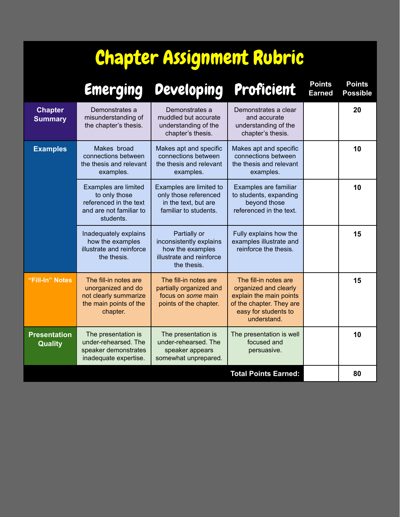## Chapter Assignment Rubric

|                                       | Emerging                                                                                                   | Developing                                                                                             | Proficient                                                                                                                                   | <b>Points</b><br><b>Earned</b> | <b>Points</b><br><b>Possible</b> |
|---------------------------------------|------------------------------------------------------------------------------------------------------------|--------------------------------------------------------------------------------------------------------|----------------------------------------------------------------------------------------------------------------------------------------------|--------------------------------|----------------------------------|
| <b>Chapter</b><br><b>Summary</b>      | Demonstrates a<br>misunderstanding of<br>the chapter's thesis.                                             | Demonstrates a<br>muddled but accurate<br>understanding of the<br>chapter's thesis.                    | Demonstrates a clear<br>and accurate<br>understanding of the<br>chapter's thesis.                                                            |                                | 20                               |
| <b>Examples</b>                       | Makes broad<br>connections between<br>the thesis and relevant<br>examples.                                 | Makes apt and specific<br>connections between<br>the thesis and relevant<br>examples.                  | Makes apt and specific<br>connections between<br>the thesis and relevant<br>examples.                                                        |                                | 10                               |
|                                       | Examples are limited<br>to only those<br>referenced in the text<br>and are not familiar to<br>students.    | Examples are limited to<br>only those referenced<br>in the text, but are<br>familiar to students.      | Examples are familiar<br>to students, expanding<br>beyond those<br>referenced in the text.                                                   |                                | 10                               |
|                                       | Inadequately explains<br>how the examples<br>illustrate and reinforce<br>the thesis.                       | Partially or<br>inconsistently explains<br>how the examples<br>illustrate and reinforce<br>the thesis. | Fully explains how the<br>examples illustrate and<br>reinforce the thesis.                                                                   |                                | 15                               |
| "Fill-In" Notes                       | The fill-in notes are<br>unorganized and do<br>not clearly summarize<br>the main points of the<br>chapter. | The fill-in notes are<br>partially organized and<br>focus on some main<br>points of the chapter.       | The fill-in notes are<br>organized and clearly<br>explain the main points<br>of the chapter. They are<br>easy for students to<br>understand. |                                | 15                               |
| <b>Presentation</b><br><b>Quality</b> | The presentation is<br>under-rehearsed. The<br>speaker demonstrates<br>inadequate expertise.               | The presentation is<br>under-rehearsed. The<br>speaker appears<br>somewhat unprepared.                 | The presentation is well<br>focused and<br>persuasive.                                                                                       |                                | 10                               |
|                                       |                                                                                                            |                                                                                                        | <b>Total Points Earned:</b>                                                                                                                  |                                | 80                               |